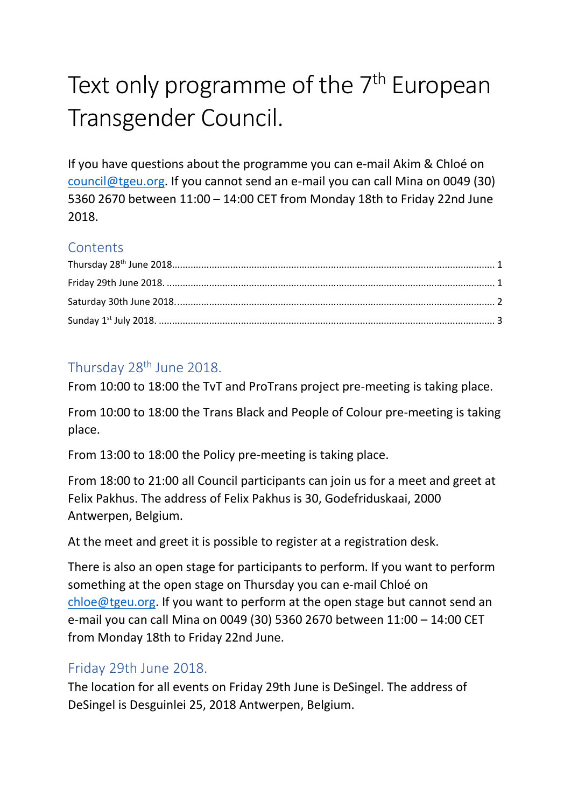# Text only programme of the 7<sup>th</sup> European Transgender Council.

If you have questions about the programme you can e-mail Akim & Chloé on [council@tgeu.org.](mailto:council@tgeu.org) If you cannot send an e-mail you can call Mina on 0049 (30) 5360 2670 between 11:00 – 14:00 CET from Monday 18th to Friday 22nd June 2018.

## **Contents**

## <span id="page-0-0"></span>Thursday 28<sup>th</sup> June 2018.

From 10:00 to 18:00 the TvT and ProTrans project pre-meeting is taking place.

From 10:00 to 18:00 the Trans Black and People of Colour pre-meeting is taking place.

From 13:00 to 18:00 the Policy pre-meeting is taking place.

From 18:00 to 21:00 all Council participants can join us for a meet and greet at Felix Pakhus. The address of Felix Pakhus is 30, Godefriduskaai, 2000 Antwerpen, Belgium.

At the meet and greet it is possible to register at a registration desk.

There is also an open stage for participants to perform. If you want to perform something at the open stage on Thursday you can e-mail Chloé on [chloe@tgeu.org.](mailto:chloe@tgeu.org) If you want to perform at the open stage but cannot send an e-mail you can call Mina on 0049 (30) 5360 2670 between 11:00 – 14:00 CET from Monday 18th to Friday 22nd June.

## <span id="page-0-1"></span>Friday 29th June 2018.

The location for all events on Friday 29th June is DeSingel. The address of DeSingel is Desguinlei 25, 2018 Antwerpen, Belgium.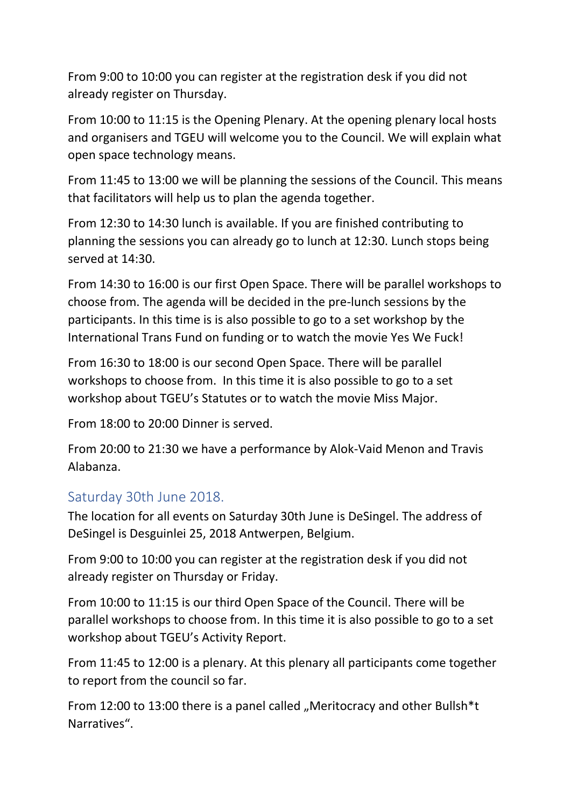From 9:00 to 10:00 you can register at the registration desk if you did not already register on Thursday.

From 10:00 to 11:15 is the Opening Plenary. At the opening plenary local hosts and organisers and TGEU will welcome you to the Council. We will explain what open space technology means.

From 11:45 to 13:00 we will be planning the sessions of the Council. This means that facilitators will help us to plan the agenda together.

From 12:30 to 14:30 lunch is available. If you are finished contributing to planning the sessions you can already go to lunch at 12:30. Lunch stops being served at 14:30.

From 14:30 to 16:00 is our first Open Space. There will be parallel workshops to choose from. The agenda will be decided in the pre-lunch sessions by the participants. In this time is is also possible to go to a set workshop by the International Trans Fund on funding or to watch the movie Yes We Fuck!

From 16:30 to 18:00 is our second Open Space. There will be parallel workshops to choose from. In this time it is also possible to go to a set workshop about TGEU's Statutes or to watch the movie Miss Major.

From 18:00 to 20:00 Dinner is served.

From 20:00 to 21:30 we have a performance by Alok-Vaid Menon and Travis Alabanza.

### <span id="page-1-0"></span>Saturday 30th June 2018.

The location for all events on Saturday 30th June is DeSingel. The address of DeSingel is Desguinlei 25, 2018 Antwerpen, Belgium.

From 9:00 to 10:00 you can register at the registration desk if you did not already register on Thursday or Friday.

From 10:00 to 11:15 is our third Open Space of the Council. There will be parallel workshops to choose from. In this time it is also possible to go to a set workshop about TGEU's Activity Report.

From 11:45 to 12:00 is a plenary. At this plenary all participants come together to report from the council so far.

From 12:00 to 13:00 there is a panel called "Meritocracy and other Bullsh\*t Narratives".